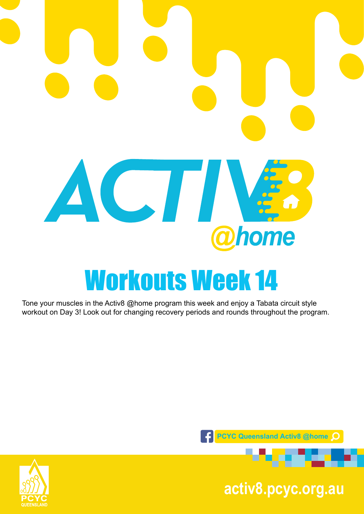# ACTIV. home Workouts Week 14

Tone your muscles in the Activ8 @home program this week and enjoy a Tabata circuit style workout on Day 3! Look out for changing recovery periods and rounds throughout the program.





**pcyc.org.au activ8.pcyc.org.au**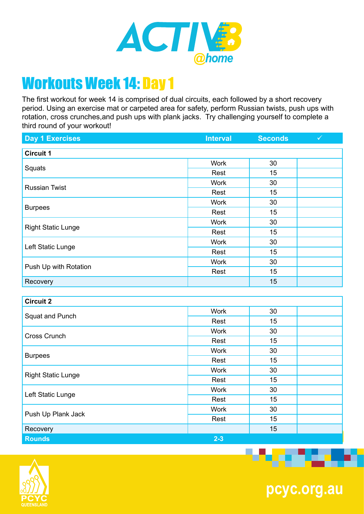

The first workout for week 14 is comprised of dual circuits, each followed by a short recovery period. Using an exercise mat or carpeted area for safety, perform Russian twists, push ups with rotation, cross crunches,and push ups with plank jacks. Try challenging yourself to complete a third round of your workout!

| <b>Day 1 Exercises</b>    | <b>Interval</b> | <b>Seconds</b> | $\checkmark$ |
|---------------------------|-----------------|----------------|--------------|
| <b>Circuit 1</b>          |                 |                |              |
| Squats                    | <b>Work</b>     | 30             |              |
|                           | Rest            | 15             |              |
| <b>Russian Twist</b>      | Work            | 30             |              |
|                           | Rest            | 15             |              |
| <b>Burpees</b>            | <b>Work</b>     | 30             |              |
|                           | Rest            | 15             |              |
| <b>Right Static Lunge</b> | <b>Work</b>     | 30             |              |
|                           | Rest            | 15             |              |
| Left Static Lunge         | Work            | 30             |              |
|                           | Rest            | 15             |              |
| Push Up with Rotation     | <b>Work</b>     | 30             |              |
|                           | Rest            | 15             |              |
| Recovery                  |                 | 15             |              |
|                           |                 |                |              |

| <b>Circuit 2</b>          |             |    |  |
|---------------------------|-------------|----|--|
| Squat and Punch           | <b>Work</b> | 30 |  |
|                           | Rest        | 15 |  |
| Cross Crunch              | <b>Work</b> | 30 |  |
|                           | Rest        | 15 |  |
| <b>Burpees</b>            | <b>Work</b> | 30 |  |
|                           | Rest        | 15 |  |
| <b>Right Static Lunge</b> | <b>Work</b> | 30 |  |
|                           | Rest        | 15 |  |
| Left Static Lunge         | <b>Work</b> | 30 |  |
|                           | Rest        | 15 |  |
| Push Up Plank Jack        | <b>Work</b> | 30 |  |
|                           | Rest        | 15 |  |
| Recovery                  |             | 15 |  |
| <b>Rounds</b>             | $2 - 3$     |    |  |



**pcyc.org.au**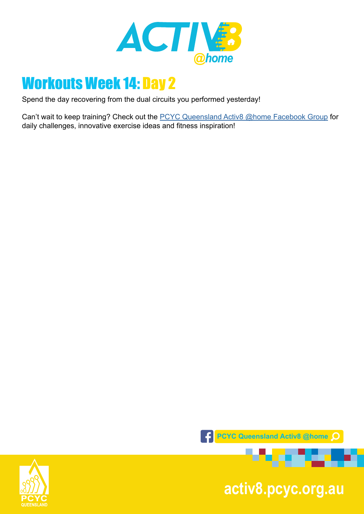

Spend the day recovering from the dual circuits you performed yesterday!

Can't wait to keep training? Check out the **PCYC Queensland Activ8 @home Facebook Group** for daily challenges, innovative exercise ideas and fitness inspiration!



**pcyc.org.au activ8.pcyc.org.au**

. . . . . .

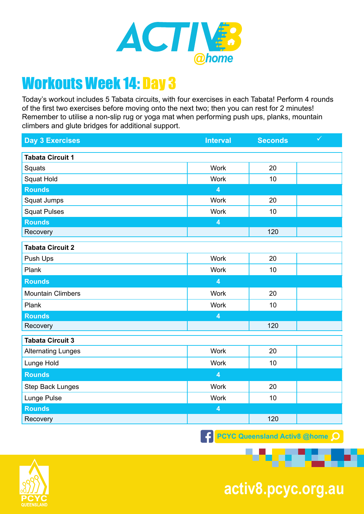

Today's workout includes 5 Tabata circuits, with four exercises in each Tabata! Perform 4 rounds of the first two exercises before moving onto the next two; then you can rest for 2 minutes! Remember to utilise a non-slip rug or yoga mat when performing push ups, planks, mountain climbers and glute bridges for additional support.

| <b>Day 3 Exercises</b>    | <b>Interval</b>         | <b>Seconds</b> | $\checkmark$ |
|---------------------------|-------------------------|----------------|--------------|
| <b>Tabata Circuit 1</b>   |                         |                |              |
| Squats                    | <b>Work</b>             | 20             |              |
| Squat Hold                | <b>Work</b>             | 10             |              |
| <b>Rounds</b>             | $\overline{\mathbf{4}}$ |                |              |
| Squat Jumps               | <b>Work</b>             | 20             |              |
| <b>Squat Pulses</b>       | <b>Work</b>             | 10             |              |
| <b>Rounds</b>             | $\overline{\mathbf{4}}$ |                |              |
| Recovery                  |                         | 120            |              |
| <b>Tabata Circuit 2</b>   |                         |                |              |
| Push Ups                  | <b>Work</b>             | 20             |              |
| Plank                     | <b>Work</b>             | 10             |              |
| <b>Rounds</b>             | $\overline{\mathbf{4}}$ |                |              |
| <b>Mountain Climbers</b>  | <b>Work</b>             | 20             |              |
| Plank                     | <b>Work</b>             | 10             |              |
| <b>Rounds</b>             | $\overline{\mathbf{4}}$ |                |              |
| Recovery                  |                         | 120            |              |
| <b>Tabata Circuit 3</b>   |                         |                |              |
| <b>Alternating Lunges</b> | <b>Work</b>             | 20             |              |
| Lunge Hold                | <b>Work</b>             | 10             |              |
| <b>Rounds</b>             | $\overline{\mathbf{4}}$ |                |              |
| <b>Step Back Lunges</b>   | <b>Work</b>             | 20             |              |
| Lunge Pulse               | Work                    | 10             |              |
| <b>Rounds</b>             | $\overline{\mathbf{4}}$ |                |              |
| Recovery                  |                         | 120            |              |

**PCYC Queensland Activ8 @home** 



**pcyc.org.au activ8.pcyc.org.au**

. .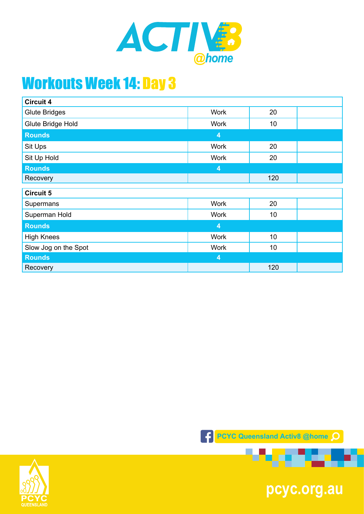

| <b>Circuit 4</b>     |                         |     |  |
|----------------------|-------------------------|-----|--|
| <b>Glute Bridges</b> | <b>Work</b>             | 20  |  |
| Glute Bridge Hold    | <b>Work</b>             | 10  |  |
| <b>Rounds</b>        | $\overline{\mathbf{4}}$ |     |  |
| Sit Ups              | <b>Work</b>             | 20  |  |
| Sit Up Hold          | <b>Work</b>             | 20  |  |
| <b>Rounds</b>        | $\overline{\mathbf{4}}$ |     |  |
| Recovery             |                         | 120 |  |
| <b>Circuit 5</b>     |                         |     |  |
| Supermans            | <b>Work</b>             | 20  |  |
| Superman Hold        | <b>Work</b>             | 10  |  |
| <b>Rounds</b>        | 4                       |     |  |
| <b>High Knees</b>    | <b>Work</b>             | 10  |  |
| Slow Jog on the Spot | <b>Work</b>             | 10  |  |
| <b>Rounds</b>        | $\overline{4}$          |     |  |
| Recovery             |                         | 120 |  |



1992 M



**pcyc.org.au**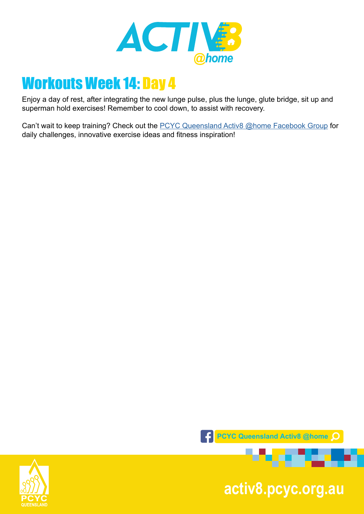

Enjoy a day of rest, after integrating the new lunge pulse, plus the lunge, glute bridge, sit up and superman hold exercises! Remember to cool down, to assist with recovery.

Can't wait to keep training? Check out the [PCYC Queensland Activ8 @home Facebook Group](https://www.facebook.com/groups/2652320985090996/) for daily challenges, innovative exercise ideas and fitness inspiration!



**pcyc.org.au activ8.pcyc.org.au**

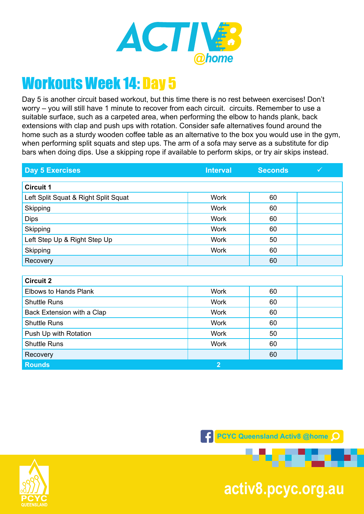

Day 5 is another circuit based workout, but this time there is no rest between exercises! Don't worry – you will still have 1 minute to recover from each circuit. circuits. Remember to use a suitable surface, such as a carpeted area, when performing the elbow to hands plank, back extensions with clap and push ups with rotation. Consider safe alternatives found around the home such as a sturdy wooden coffee table as an alternative to the box you would use in the gym, when performing split squats and step ups. The arm of a sofa may serve as a substitute for dip bars when doing dips. Use a skipping rope if available to perform skips, or try air skips instead.

| <b>Day 5 Exercises</b>               | <b>Interval</b> | <b>Seconds</b> | $\checkmark$ |
|--------------------------------------|-----------------|----------------|--------------|
|                                      |                 |                |              |
| <b>Circuit 1</b>                     |                 |                |              |
| Left Split Squat & Right Split Squat | <b>Work</b>     | 60             |              |
| Skipping                             | <b>Work</b>     | 60             |              |
| <b>Dips</b>                          | <b>Work</b>     | 60             |              |
| Skipping                             | <b>Work</b>     | 60             |              |
| Left Step Up & Right Step Up         | <b>Work</b>     | 50             |              |
| Skipping                             | <b>Work</b>     | 60             |              |
| Recovery                             |                 | 60             |              |
|                                      |                 |                |              |
| <b>Circuit 2</b>                     |                 |                |              |
| <b>Elbows to Hands Plank</b>         | <b>Work</b>     | 60             |              |
| <b>Shuttle Runs</b>                  | <b>Work</b>     | 60             |              |
| Back Extension with a Clap           | <b>Work</b>     | 60             |              |
| <b>Shuttle Runs</b>                  | <b>Work</b>     | 60             |              |
| Push Up with Rotation                | <b>Work</b>     | 50             |              |
| <b>Shuttle Runs</b>                  | <b>Work</b>     | 60             |              |
| $\mathbf{D}$ - - - $\mathbf{D}$      |                 | $\sim$         |              |



**F** PCYC Queensland Activ8 @home Q



**pcyc.org.au activ8.pcyc.org.au**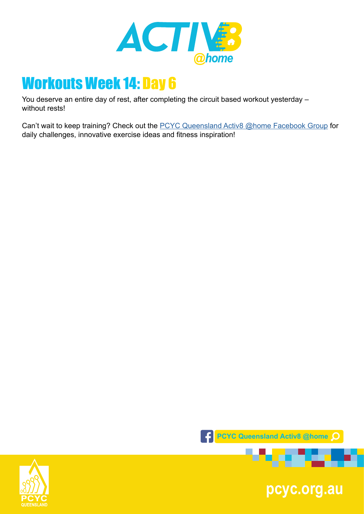

You deserve an entire day of rest, after completing the circuit based workout yesterday – without rests!

Can't wait to keep training? Check out the [PCYC Queensland Activ8 @home Facebook Group](https://www.facebook.com/groups/2652320985090996/) for daily challenges, innovative exercise ideas and fitness inspiration!